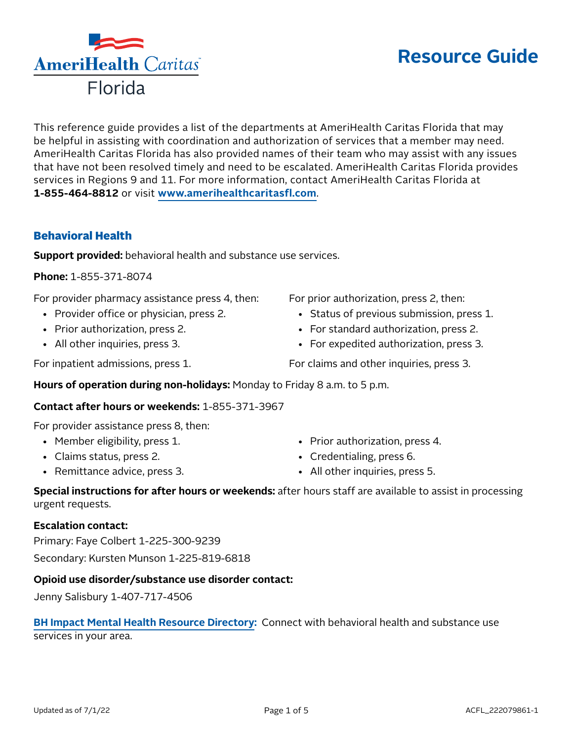## This reference guide provides a list of the departments at AmeriHealth Caritas Florida that may be helpful in assisting with coordination and authorization of services that a member may need. AmeriHealth Caritas Florida has also provided names of their team who may assist with any issues that have not been resolved timely and need to be escalated. AmeriHealth Caritas Florida provides services in Regions 9 and 11. For more information, contact AmeriHealth Caritas Florida at

**1-855-464-8812** or visit **[www.amerihealthcaritasfl.com](http://www.amerihealthcaritasfl.com)**.

## Behavioral Health

**Support provided:** behavioral health and substance use services.

**Phone:** 1-855-371-8074

For provider pharmacy assistance press 4, then:

- Provider office or physician, press 2.
- Prior authorization, press 2.
- All other inquiries, press 3.

For inpatient admissions, press 1.

• Status of previous submission, press 1. • For standard authorization, press 2.

- For expedited authorization, press 3.
- For claims and other inquiries, press 3.

For prior authorization, press 2, then:

**Hours of operation during non-holidays:** Monday to Friday 8 a.m. to 5 p.m.

#### **Contact after hours or weekends:** 1-855-371-3967

For provider assistance press 8, then:

- Member eligibility, press 1.
- Claims status, press 2.
- Remittance advice, press 3.
- Prior authorization, press 4.
- Credentialing, press 6.
- All other inquiries, press 5.

**Special instructions for after hours or weekends:** after hours staff are available to assist in processing urgent requests.

#### **Escalation contact:**

Primary: Faye Colbert 1-225-300-9239 Secondary: Kursten Munson 1-225-819-6818

#### **Opioid use disorder/substance use disorder contact:**

Jenny Salisbury 1-407-717-4506

## **[BH Impact Mental Health Resource Directory:](https://flmomsmhresources.org/)** Connect with behavioral health and substance use services in your area.

# **Resource Guide**

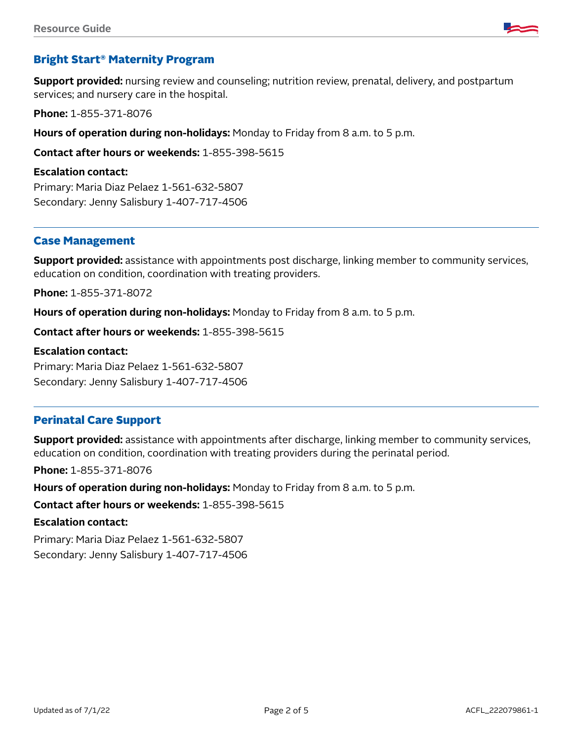

## Bright Start® Maternity Program

**Support provided:** nursing review and counseling; nutrition review, prenatal, delivery, and postpartum services; and nursery care in the hospital.

**Phone:** 1-855-371-8076

**Hours of operation during non-holidays:** Monday to Friday from 8 a.m. to 5 p.m.

**Contact after hours or weekends:** 1-855-398-5615

**Escalation contact:**

Primary: Maria Diaz Pelaez 1-561-632-5807 Secondary: Jenny Salisbury 1-407-717-4506

#### Case Management

**Support provided:** assistance with appointments post discharge, linking member to community services, education on condition, coordination with treating providers.

**Phone:** 1-855-371-8072

**Hours of operation during non-holidays:** Monday to Friday from 8 a.m. to 5 p.m.

**Contact after hours or weekends:** 1-855-398-5615

#### **Escalation contact:**

Primary: Maria Diaz Pelaez 1-561-632-5807 Secondary: Jenny Salisbury 1-407-717-4506

#### Perinatal Care Support

**Support provided:** assistance with appointments after discharge, linking member to community services, education on condition, coordination with treating providers during the perinatal period.

**Phone:** 1-855-371-8076

**Hours of operation during non-holidays:** Monday to Friday from 8 a.m. to 5 p.m.

**Contact after hours or weekends:** 1-855-398-5615

#### **Escalation contact:**

Primary: Maria Diaz Pelaez 1-561-632-5807 Secondary: Jenny Salisbury 1-407-717-4506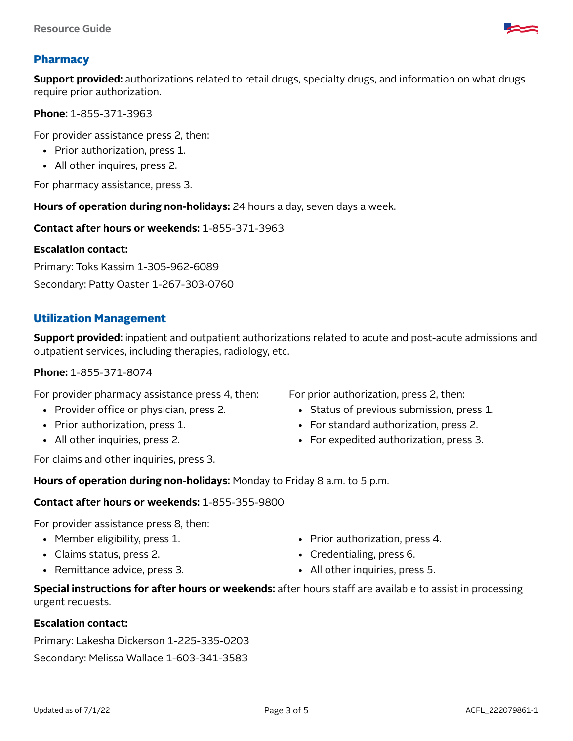## Pharmacy

**Support provided:** authorizations related to retail drugs, specialty drugs, and information on what drugs require prior authorization.

**Phone:** 1-855-371-3963

For provider assistance press 2, then:

- Prior authorization, press 1.
- All other inquires, press 2.

For pharmacy assistance, press 3.

**Hours of operation during non-holidays:** 24 hours a day, seven days a week.

**Contact after hours or weekends:** 1-855-371-3963

#### **Escalation contact:**

Primary: Toks Kassim 1-305-962-6089 Secondary: Patty Oaster 1-267-303-0760

#### Utilization Management

**Support provided:** inpatient and outpatient authorizations related to acute and post-acute admissions and outpatient services, including therapies, radiology, etc.

#### **Phone:** 1-855-371-8074

For provider pharmacy assistance press 4, then:

- Provider office or physician, press 2.
- Prior authorization, press 1.
- All other inquiries, press 2.

For claims and other inquiries, press 3.

For prior authorization, press 2, then:

- Status of previous submission, press 1.
- For standard authorization, press 2.
- For expedited authorization, press 3.

**Hours of operation during non-holidays:** Monday to Friday 8 a.m. to 5 p.m.

#### **Contact after hours or weekends:** 1-855-355-9800

For provider assistance press 8, then:

- Member eligibility, press 1.
- Claims status, press 2.
- Remittance advice, press 3.
- Prior authorization, press 4.
- Credentialing, press 6.
- All other inquiries, press 5.

**Special instructions for after hours or weekends:** after hours staff are available to assist in processing urgent requests.

#### **Escalation contact:**

Primary: Lakesha Dickerson 1-225-335-0203 Secondary: Melissa Wallace 1-603-341-3583

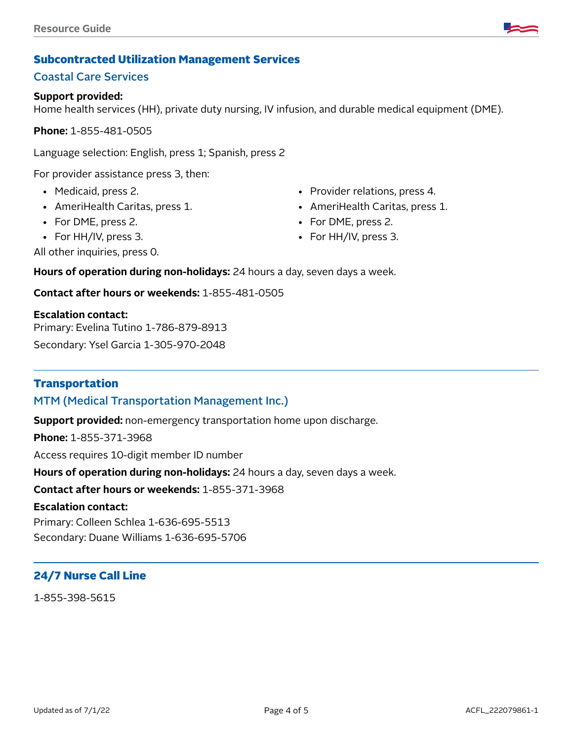

## Subcontracted Utilization Management Services

## Coastal Care Services

#### **Support provided:**

Home health services (HH), private duty nursing, IV infusion, and durable medical equipment (DME).

**Phone:** 1-855-481-0505

Language selection: English, press 1; Spanish, press 2

For provider assistance press 3, then:

- Medicaid, press 2.
- AmeriHealth Caritas, press 1.
- For DME, press 2.
- For HH/IV, press 3.
- Provider relations, press 4.
- AmeriHealth Caritas, press 1.
- For DME, press 2.
- For HH/IV, press 3.

All other inquiries, press 0.

**Hours of operation during non-holidays:** 24 hours a day, seven days a week.

**Contact after hours or weekends:** 1-855-481-0505

#### **Escalation contact:**

Primary: Evelina Tutino 1-786-879-8913

Secondary: Ysel Garcia 1-305-970-2048

#### **Transportation**

### MTM (Medical Transportation Management Inc.)

**Support provided:** non-emergency transportation home upon discharge.

**Phone:** 1-855-371-3968

Access requires 10-digit member ID number

**Hours of operation during non-holidays:** 24 hours a day, seven days a week.

**Contact after hours or weekends:** 1-855-371-3968

#### **Escalation contact:**

Primary: Colleen Schlea 1-636-695-5513 Secondary: Duane Williams 1-636-695-5706

## 24/7 Nurse Call Line

1-855-398-5615